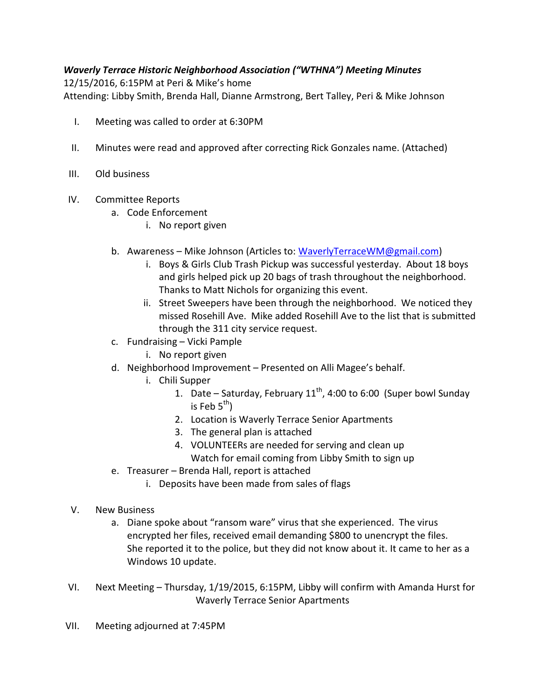## Waverly Terrace Historic Neighborhood Association ("WTHNA") Meeting Minutes

12/15/2016, 6:15PM at Peri & Mike's home Attending: Libby Smith, Brenda Hall, Dianne Armstrong, Bert Talley, Peri & Mike Johnson

- I. Meeting was called to order at 6:30PM
- II. Minutes were read and approved after correcting Rick Gonzales name. (Attached)
- III. Old business
- IV. Committee Reports
	- a. Code Enforcement
		- i. No report given
	- b. Awareness Mike Johnson (Articles to: WaverlyTerraceWM@gmail.com)
		- i. Boys & Girls Club Trash Pickup was successful yesterday. About 18 boys and girls helped pick up 20 bags of trash throughout the neighborhood. Thanks to Matt Nichols for organizing this event.
		- ii. Street Sweepers have been through the neighborhood. We noticed they missed Rosehill Ave. Mike added Rosehill Ave to the list that is submitted through the 311 city service request.
	- c. Fundraising Vicki Pample
		- i. No report given
	- d. Neighborhood Improvement Presented on Alli Magee's behalf.
		- i. Chili Supper
			- 1. Date Saturday, February  $11^{th}$ , 4:00 to 6:00 (Super bowl Sunday is Feb  $5^{th}$ )
			- 2. Location is Waverly Terrace Senior Apartments
			- 3. The general plan is attached
			- 4. VOLUNTEERs are needed for serving and clean up Watch for email coming from Libby Smith to sign up
	- e. Treasurer Brenda Hall, report is attached
		- i. Deposits have been made from sales of flags
- V. New Business
	- a. Diane spoke about "ransom ware" virus that she experienced. The virus encrypted her files, received email demanding \$800 to unencrypt the files. She reported it to the police, but they did not know about it. It came to her as a Windows 10 update.
- VI. Next Meeting Thursday, 1/19/2015, 6:15PM, Libby will confirm with Amanda Hurst for Waverly Terrace Senior Apartments
- VII. Meeting adjourned at 7:45PM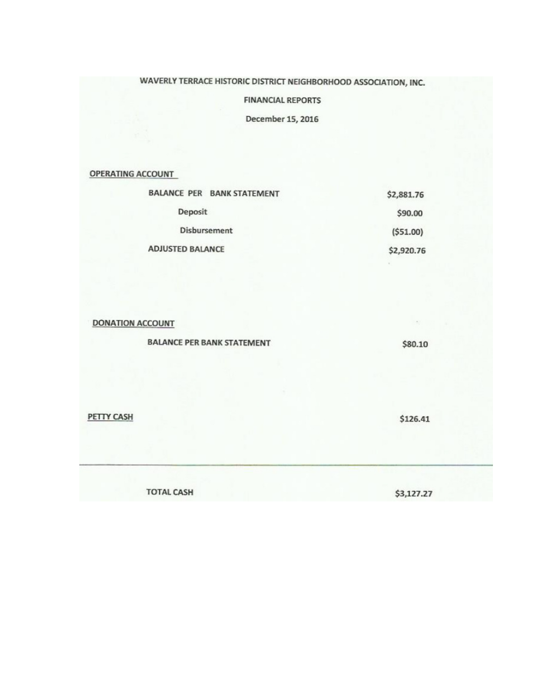## WAVERLY TERRACE HISTORIC DISTRICT NEIGHBORHOOD ASSOCIATION, INC.

#### **FINANCIAL REPORTS**

December 15, 2016

**OPERATING ACCOUNT** 

| <b>BALANCE PER BANK STATEMENT</b> | \$2,881.76 |
|-----------------------------------|------------|
| Deposit                           | \$90.00    |
| <b>Disbursement</b>               | ( \$51.00) |
| <b>ADJUSTED BALANCE</b>           | \$2,920.76 |

**DONATION ACCOUNT** 

**BALANCE PER BANK STATEMENT** 

\$80.10

**PETTY CASH** 

\$126.41

**TOTAL CASH** 

\$3,127.27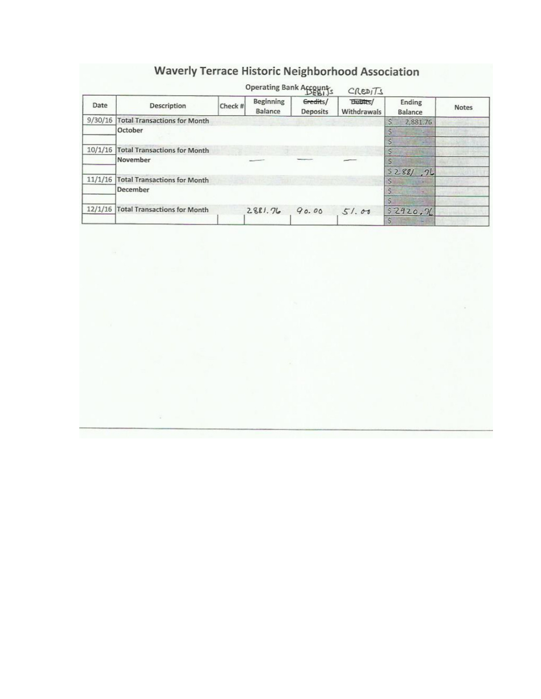# **Waverly Terrace Historic Neighborhood Association**

| Date    | <b>Description</b>                  | Operating Bank Accounts<br>Check # | Beginning<br>Balance | Gredits/<br><b>Deposits</b> | <b>Dubits/</b><br>Withdrawals | Ending<br><b>Balance</b> | <b>Notes</b> |
|---------|-------------------------------------|------------------------------------|----------------------|-----------------------------|-------------------------------|--------------------------|--------------|
| 9/30/16 | <b>Total Transactions for Month</b> |                                    |                      |                             |                               | 2,881.76                 |              |
|         | October                             |                                    |                      |                             |                               |                          |              |
| 10/1/16 | <b>Total Transactions for Month</b> |                                    |                      |                             |                               |                          |              |
|         | November                            |                                    |                      |                             |                               | 5288/72                  |              |
| 11/1/16 | <b>Total Transactions for Month</b> |                                    | <b>START TEST</b>    |                             |                               |                          |              |
|         | December                            |                                    |                      |                             |                               |                          |              |
| 12/1/16 | <b>Total Transactions for Month</b> |                                    | 2881.76              | 90.00                       | 51.00                         | \$2920.76                |              |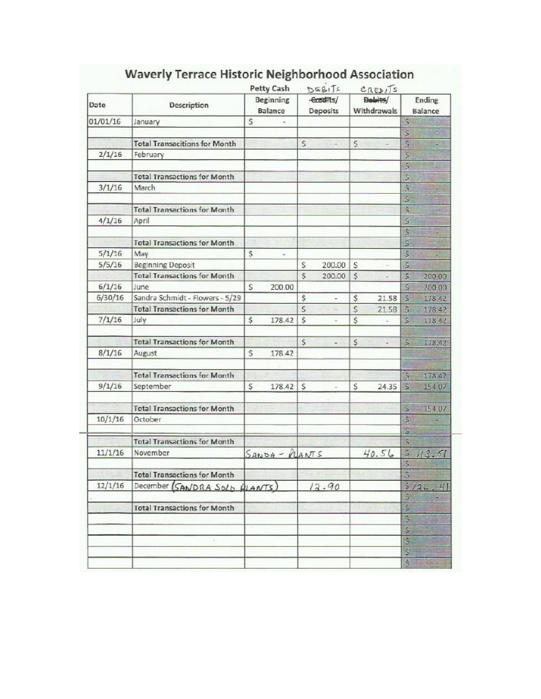|          |                                      |              | <b>Petty Cash</b>    |                          | DEBITS                |              | $C$ REDITS             |                         |                   |
|----------|--------------------------------------|--------------|----------------------|--------------------------|-----------------------|--------------|------------------------|-------------------------|-------------------|
| Date     | Description                          |              | Beginning<br>Balance |                          | -Greatts/<br>Deposits |              | Bebits/<br>Withdrawals |                         | Ending<br>Balance |
| 01/01/16 | January                              | $\mathsf{S}$ |                      |                          |                       |              |                        | $\mathsf{S}$            |                   |
|          |                                      |              |                      |                          |                       |              |                        | Ş                       |                   |
|          | <b>Total Transacitions for Month</b> |              |                      | $\mathsf{S}\xspace$      |                       | $\mathsf{S}$ |                        | \$                      |                   |
| 2/1/16   | February                             |              |                      |                          |                       |              |                        | \$                      |                   |
|          |                                      |              |                      |                          |                       |              |                        | \$                      |                   |
|          | <b>Total Transactions for Month</b>  |              |                      |                          |                       |              |                        | š                       |                   |
| 3/1/16   | March                                |              |                      |                          |                       |              |                        | ŝ<br>š                  |                   |
|          | <b>Total Transactions for Month</b>  |              |                      |                          |                       |              |                        | \$                      | 羇                 |
| 4/1/16   | April                                |              |                      |                          |                       |              |                        | \$                      |                   |
|          |                                      |              |                      |                          |                       |              |                        | \$                      |                   |
|          | <b>Total Transactions for Month</b>  |              |                      |                          |                       |              |                        | ŝ                       |                   |
| 5/1/16   | May                                  | \$           |                      |                          |                       |              |                        | Š                       |                   |
| 5/5/16   | <b>Beginning Deposit</b>             |              |                      | S                        | 200.00                | S            |                        | Ś                       |                   |
|          | <b>Total Transactions for Month</b>  |              |                      | $\overline{\mathsf{s}}$  | 200.00                | $\zeta$      |                        | \$                      | 200.00            |
| 6/1/16   | June                                 | S            | 200.00               |                          |                       |              |                        | Ś                       | 200.00            |
| 6/30/16  | Sandra Schmidt - Flowers - 5/29      |              |                      | \$                       | $\frac{1}{2}$         | \$           | 21.58                  | $\ddot{\circ}$          | 178.42            |
|          | <b>Total Transactions for Month</b>  |              |                      | $\overline{\mathcal{S}}$ |                       | S            | 21.58                  | $\hat{S}$               | 178.42            |
| 7/1/16   | July                                 | \$           | 178.42               | Ś                        | $\rightarrow$         | \$           | c                      | š                       | 178.42            |
|          | <b>Total Transactions for Month</b>  |              |                      | \$                       | ٠                     | \$           | ٠                      | \$                      | 178.42            |
| 8/1/16   | August                               | \$           | 178.42               |                          |                       |              |                        |                         |                   |
|          | <b>Total Transactions for Month</b>  |              |                      |                          |                       |              |                        | $\boldsymbol{\hat{S}}$  | 178.47            |
| 9/1/16   | September                            | \$           | 178.42               | Ś                        |                       | $\mathsf{S}$ | 24.35                  | $\overline{\mathbf{s}}$ | 154.07            |
|          | <b>Total Transactions for Month</b>  |              |                      |                          |                       |              |                        | s                       | 154.07            |
| 10/1/16  | October                              |              |                      |                          |                       |              |                        | š                       |                   |
|          | <b>Total Transactions for Month</b>  |              |                      |                          |                       |              |                        | ŝ<br>S                  |                   |
| 11/1/16  | November                             |              | $SANDA - PUANTS$     |                          |                       |              | 40.56                  | S                       | 113.51            |
|          | <b>Total Transactions for Month</b>  |              |                      |                          |                       |              |                        | \$<br>s                 |                   |
| 12/1/16  | December (SANDRA SOLD ALANTS)        |              |                      |                          | 12.90                 |              |                        | ş                       | 126<br>$-4$       |
|          | <b>Total Transactions for Month</b>  |              |                      |                          |                       |              |                        | š<br>\$                 |                   |
|          |                                      |              |                      |                          |                       |              |                        | S                       |                   |
|          |                                      |              |                      |                          |                       |              |                        | \$                      |                   |
|          |                                      |              |                      |                          |                       |              |                        | \$                      | Б                 |
|          |                                      |              |                      |                          |                       |              |                        | Ş                       |                   |
|          |                                      |              |                      |                          |                       |              |                        | Ś                       |                   |

# **Waverly Terrace Historic Neighborhood Association**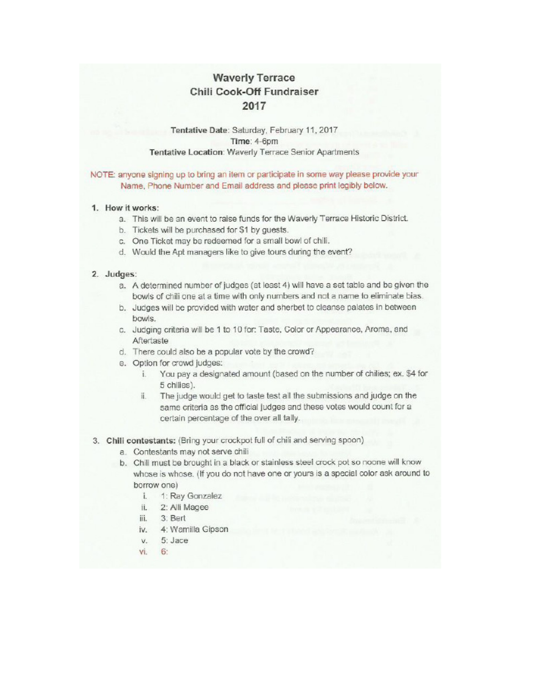## **Waverly Terrace** Chili Cook-Off Fundraiser 2017

#### Tentative Date: Saturday, February 11, 2017 Time: 4-6pm Tentative Location: Waverly Terrace Senior Apartments

#### NOTE: anyone signing up to bring an item or participate in some way please provide your Name, Phone Number and Email address and please print legibly below.

#### 1. How it works:

- a. This will be an event to raise funds for the Waverly Terrace Historic District.
- b. Tickets will be purchased for \$1 by guests.
- c. One Ticket may be redeemed for a small bowl of chili.
- d. Would the Apt managers like to give tours during the event?

#### 2. Judges:

- a. A determined number of judges (at least 4) will have a set table and be given the bowls of chili one at a time with only numbers and not a name to eliminate bias.
- b. Judges will be provided with water and sherbet to cleanse palates in between bowls.
- c. Judging criteria will be 1 to 10 for: Taste, Color or Appearance, Aroma, and Aftertaste
- d. There could also be a popular vote by the crowd?
- e. Option for crowd judges:
	- i. You pay a designated amount (based on the number of chilies; ex. \$4 for 5 chilies).
	- The judge would get to taste test all the submissions and judge on the ii. same criteria as the official judges and these votes would count for a certain percentage of the over all tally.

#### 3. Chili contestants: (Bring your crockpot full of chili and serving spoon)

- a. Contestants may not serve chili
- b. Chili must be brought in a black or stainless steel crock pot so noone will know whose is whose. (If you do not have one or yours is a special color ask around to borrow one)
	- i. 1: Ray Gonzalez
	- ii. 2: Alli Magee
	- iii. 3: Bert
	- iv. 4: Wamilla Gipson
	- $v. 5: \text{Jac}$
	- vi. 6: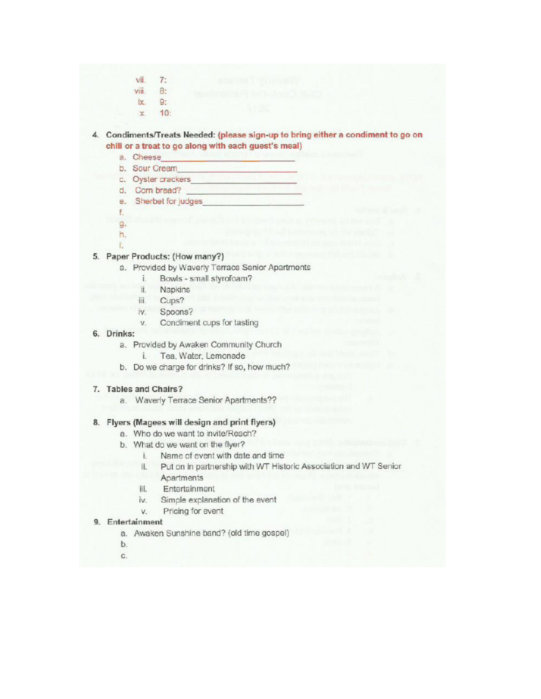- vii.  $7:$  $8:$ viii.
- 9: ix.
- $10:$  $\mathbf{x}$

4. Condiments/Treats Needed: (please sign-up to bring either a condiment to go on chili or a treat to go along with each guest's meal)

- a. Cheese
- b. Sour Cream
- c. Oyster crackers
- d. Com bread?
- e. Sherbet for judges
- f.
- g.
- h. È.
- 5. Paper Products: (How many?)
	- a. Provided by Waverly Terrace Senior Apartments
		- í. Bowls - small styrofoam?
		- ii. Napkins
		- iii.  $Cups?$
		- iv. Spoons?
		- Condiment cups for tasting v.
- 6. Drinks:
	- a. Provided by Awaken Community Church
		- Tea. Water, Lemonade i.
	- b. Do we charge for drinks? If so, how much?

#### 7. Tables and Chairs?

a. Waverly Terrace Senior Apartments??

#### 8. Flyers (Magees will design and print flyers)

- a. Who do we want to invite/Reach?
- b. What do we want on the flyer?
	- Name of event with date and time i.
	- Put on in partnership with WT Historic Association and WT Senior ii.
	- Apartments
	- iii. Entertainment
	- iv. Simple explanation of the event
	- v. Pricing for event

#### 9. Entertainment

- a. Awaken Sunshine band? (old time gospel)
- b.
- c.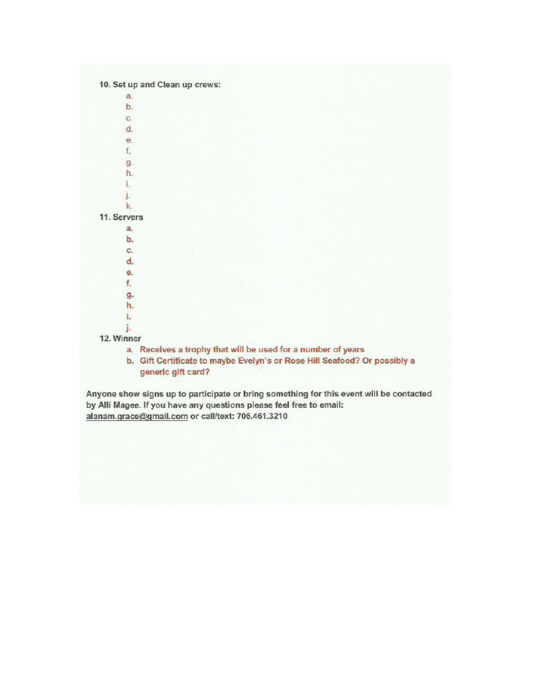| $a$ .       |                                                                                                 |
|-------------|-------------------------------------------------------------------------------------------------|
| b.          |                                                                                                 |
| G.          |                                                                                                 |
| d.          |                                                                                                 |
| е.          |                                                                                                 |
| f.          |                                                                                                 |
| g.          |                                                                                                 |
| h.          |                                                                                                 |
| i.          |                                                                                                 |
| j.          |                                                                                                 |
| k.          |                                                                                                 |
| 11. Servers |                                                                                                 |
| a.          |                                                                                                 |
| b.          |                                                                                                 |
| C.          |                                                                                                 |
| d.          |                                                                                                 |
| e.          |                                                                                                 |
| f.          |                                                                                                 |
| g.          |                                                                                                 |
| h.          |                                                                                                 |
| ì.          |                                                                                                 |
| ĵ.          |                                                                                                 |
| 12. Winner  |                                                                                                 |
|             | a. Receives a trophy that will be used for a number of years                                    |
|             | b. Gift Certificate to maybe Evelyn's or Rose Hill Seafood? Or possibly a<br>generic gift card? |

Anyone show signs up to participate or bring something for this event will be contacted by Alli Magee. If you have any questions please feel free to email: alanam.grace@gmail.com or call/text: 706.461.3210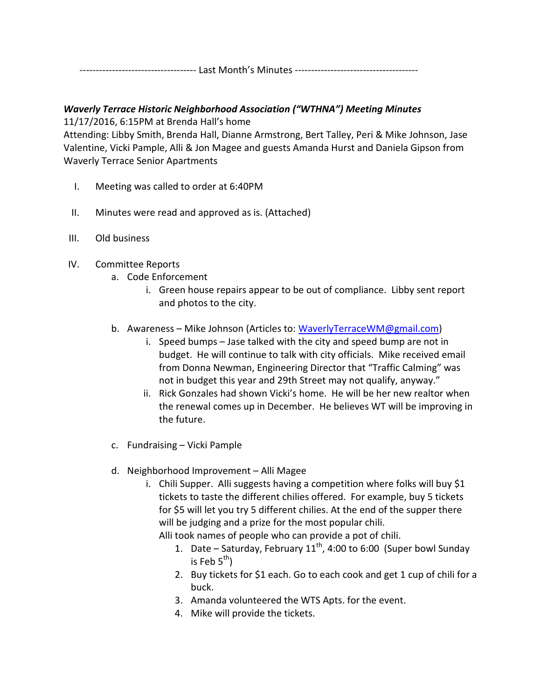------------------------------------ Last Month's Minutes --------------------------------------

## Waverly Terrace Historic Neighborhood Association ("WTHNA") Meeting Minutes

11/17/2016, 6:15PM at Brenda Hall's home

Attending: Libby Smith, Brenda Hall, Dianne Armstrong, Bert Talley, Peri & Mike Johnson, Jase Valentine, Vicki Pample, Alli & Jon Magee and guests Amanda Hurst and Daniela Gipson from Waverly Terrace Senior Apartments

- I. Meeting was called to order at 6:40PM
- II. Minutes were read and approved as is. (Attached)
- III. Old business
- IV. Committee Reports
	- a. Code Enforcement
		- i. Green house repairs appear to be out of compliance. Libby sent report and photos to the city.
	- b. Awareness Mike Johnson (Articles to: WaverlyTerraceWM@gmail.com)
		- i. Speed bumps Jase talked with the city and speed bump are not in budget. He will continue to talk with city officials. Mike received email from Donna Newman, Engineering Director that "Traffic Calming" was not in budget this year and 29th Street may not qualify, anyway."
		- ii. Rick Gonzales had shown Vicki's home. He will be her new realtor when the renewal comes up in December. He believes WT will be improving in the future.
	- c. Fundraising Vicki Pample
	- d. Neighborhood Improvement Alli Magee
		- i. Chili Supper. Alli suggests having a competition where folks will buy \$1 tickets to taste the different chilies offered. For example, buy 5 tickets for \$5 will let you try 5 different chilies. At the end of the supper there will be judging and a prize for the most popular chili.

Alli took names of people who can provide a pot of chili.

- 1. Date Saturday, February  $11^{th}$ , 4:00 to 6:00 (Super bowl Sunday is Feb  $5^{th}$ )
- 2. Buy tickets for \$1 each. Go to each cook and get 1 cup of chili for a buck.
- 3. Amanda volunteered the WTS Apts. for the event.
- 4. Mike will provide the tickets.